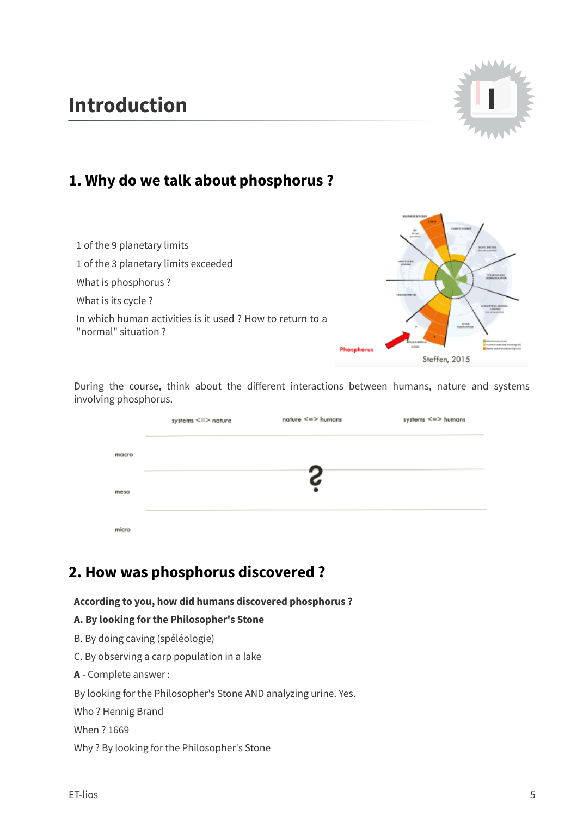# **Introduction I**



**CHATCHER** 

# **1. Why do we talk about phosphorus ?**

| 1 of the 9 planetary limits<br>1 of the 3 planetary limits exceeded             |                   | CONTRACTOR CONTRARE<br>put yet<br><b>HOVE: ENET</b><br>(Senior) payment that |
|---------------------------------------------------------------------------------|-------------------|------------------------------------------------------------------------------|
| What is phosphorus?                                                             |                   |                                                                              |
| What is its cycle?                                                              |                   | <b>REGISTER TO</b>                                                           |
| In which human activities is it used? How to return to a<br>"normal" situation? |                   | <b>DESAR</b><br><b>ASDIREMENT</b>                                            |
|                                                                                 | <b>Phosphorus</b> |                                                                              |
|                                                                                 |                   | Steffen, 2015                                                                |

During the course, think about the different interactions between humans, nature and systems involving phosphorus.

|       | systems <=> nature | nature $\leq$ $\Rightarrow$ humans | systems <=> humans |
|-------|--------------------|------------------------------------|--------------------|
| macro |                    |                                    |                    |
| meso  |                    | S<br>٠                             |                    |
| micro |                    |                                    |                    |

# **2. How was phosphorus discovered ?**

**According to you, how did humans discovered phosphorus ?**

### **A. By looking for the Philosopher's Stone**

B. By doing caving (spéléologie)

C. By observing a carp population in a lake

**A** - Complete answer :

By looking for the Philosopher's Stone AND analyzing urine. Yes.

Who ? Hennig Brand

When ? 1669

Why ? By looking for the Philosopher's Stone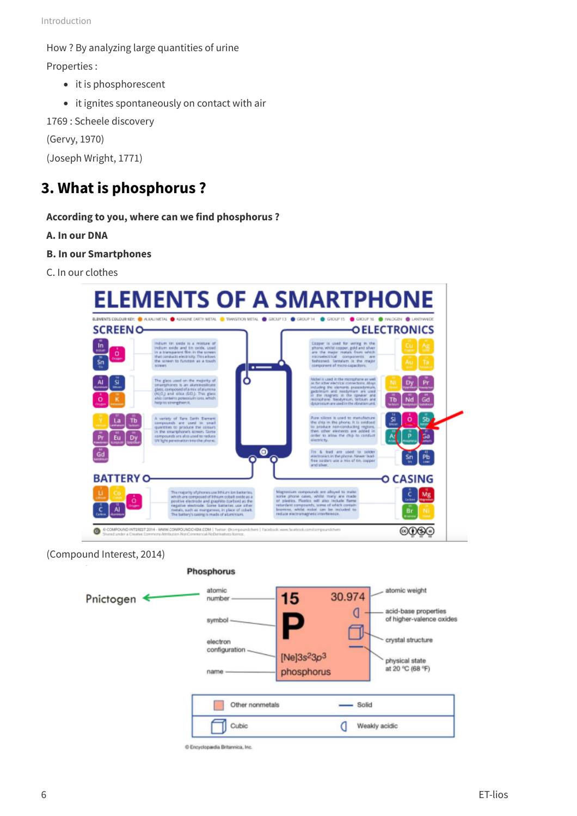How ? By analyzing large quantities of urine

Properties :

- it is phosphorescent
- it ignites spontaneously on contact with air

1769 : Scheele discovery

(Gervy, 1970)

(Joseph Wright, 1771)

# **3. What is phosphorus ?**

### **According to you, where can we find phosphorus ?**

**A. In our DNA**

- **B. In our Smartphones**
- C. In our clothes



(Compound Interest, 2014)

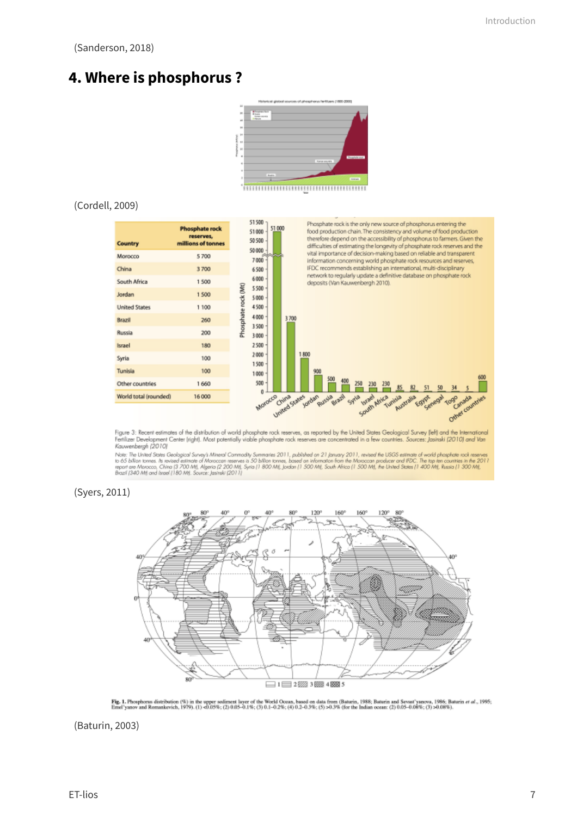(Sanderson, 2018)

# **4. Where is phosphorus ?**



#### (Cordell, 2009)



Figure 3: Recent estimates of the distribution of world phosphate rock reserves, as reported by the United States Geological Survey (left) and the International Fertilizer Development Center (right). Most potentially viable phosphate rock reserves are concentrated in a few countries. Sources: Jasinski (2010) and Van Kauwenbergh (2010)

rownershows records<br>The United States Geological Suney's Mineral Commodity Summaries 2011, published on 21 January 2011, revised the USGS estimate of world phosphate rock reserved as the 20<br>The States to the Constant of Mi t reserves<br>the 2011

#### (Syers, 2011)



Fig. 1. Phosphorus distribution (%) in the upper sediment layer of the World Ocean, based on data from (Baturin, 1988; Baturin and Sevast'yanova, 1986; Baturin et al., 1995;<br>Emel'yanov and Romankovich, 1979). (1) <0.05%; (

(Baturin, 2003)